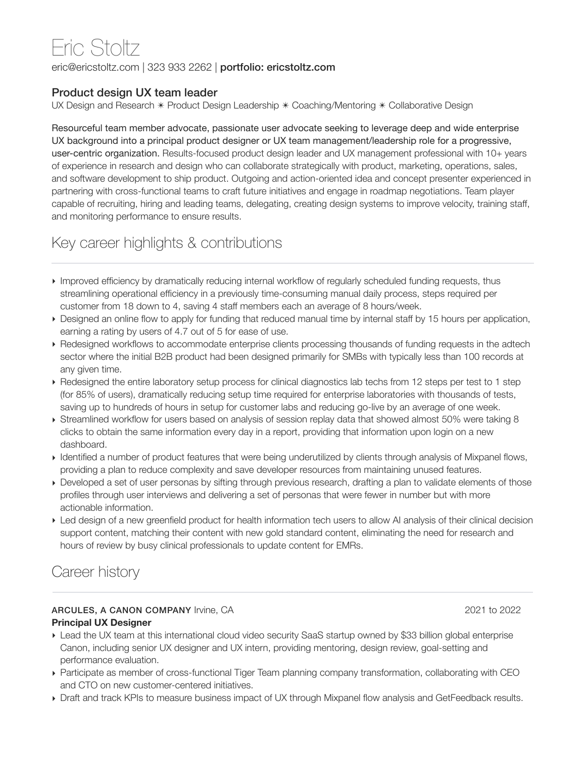# Eric Stoltz

eric@ericstoltz.com | 323 933 2262 | portfolio: ericstoltz.com

#### Product design UX team leader

UX Design and Research  $*$  Product Design Leadership  $*$  Coaching/Mentoring  $*$  Collaborative Design

Resourceful team member advocate, passionate user advocate seeking to leverage deep and wide enterprise UX background into a principal product designer or UX team management/leadership role for a progressive, user-centric organization. Results-focused product design leader and UX management professional with 10+ years of experience in research and design who can collaborate strategically with product, marketing, operations, sales, and software development to ship product. Outgoing and action-oriented idea and concept presenter experienced in partnering with cross-functional teams to craft future initiatives and engage in roadmap negotiations. Team player capable of recruiting, hiring and leading teams, delegating, creating design systems to improve velocity, training staff, and monitoring performance to ensure results.

# Key career highlights & contributions

- ‣ Improved efficiency by dramatically reducing internal workflow of regularly scheduled funding requests, thus streamlining operational efficiency in a previously time-consuming manual daily process, steps required per customer from 18 down to 4, saving 4 staff members each an average of 8 hours/week.
- ‣ Designed an online flow to apply for funding that reduced manual time by internal staff by 15 hours per application, earning a rating by users of 4.7 out of 5 for ease of use.
- ‣ Redesigned workflows to accommodate enterprise clients processing thousands of funding requests in the adtech sector where the initial B2B product had been designed primarily for SMBs with typically less than 100 records at any given time.
- ‣ Redesigned the entire laboratory setup process for clinical diagnostics lab techs from 12 steps per test to 1 step (for 85% of users), dramatically reducing setup time required for enterprise laboratories with thousands of tests, saving up to hundreds of hours in setup for customer labs and reducing go-live by an average of one week.
- ‣ Streamlined workflow for users based on analysis of session replay data that showed almost 50% were taking 8 clicks to obtain the same information every day in a report, providing that information upon login on a new dashboard.
- ‣ Identified a number of product features that were being underutilized by clients through analysis of Mixpanel flows, providing a plan to reduce complexity and save developer resources from maintaining unused features.
- ‣ Developed a set of user personas by sifting through previous research, drafting a plan to validate elements of those profiles through user interviews and delivering a set of personas that were fewer in number but with more actionable information.
- ‣ Led design of a new greenfield product for health information tech users to allow AI analysis of their clinical decision support content, matching their content with new gold standard content, eliminating the need for research and hours of review by busy clinical professionals to update content for EMRs.

# Career history

#### ARCULES, A CANON COMPANY Irvine, CA 2021 to 2022 **Principal UX Designer**

- ‣ Lead the UX team at this international cloud video security SaaS startup owned by \$33 billion global enterprise Canon, including senior UX designer and UX intern, providing mentoring, design review, goal-setting and performance evaluation.
- ‣ Participate as member of cross-functional Tiger Team planning company transformation, collaborating with CEO and CTO on new customer-centered initiatives.
- ‣ Draft and track KPIs to measure business impact of UX through Mixpanel flow analysis and GetFeedback results.